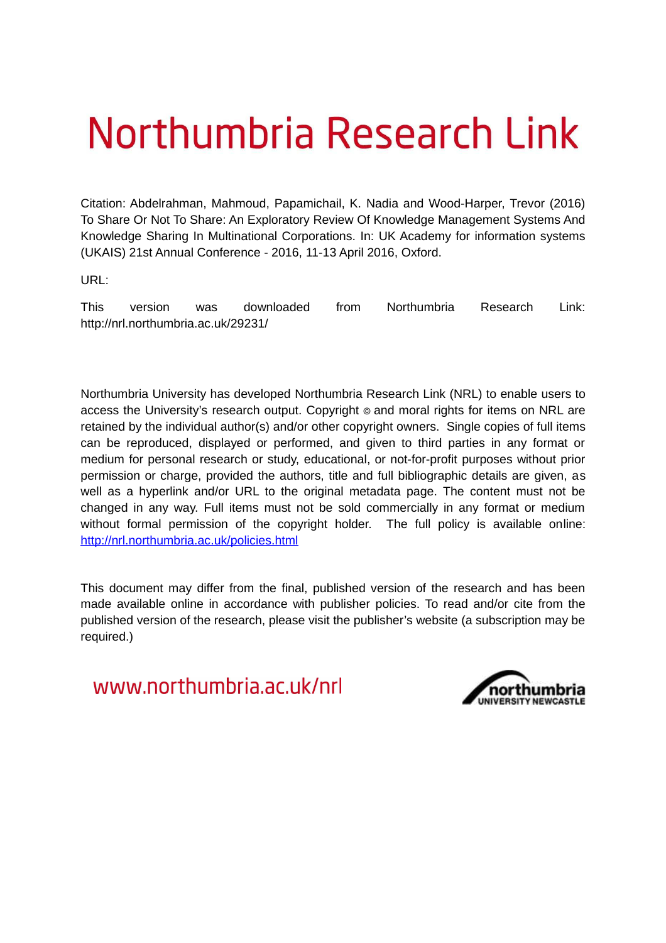# Northumbria Research Link

Citation: Abdelrahman, Mahmoud, Papamichail, K. Nadia and Wood-Harper, Trevor (2016) To Share Or Not To Share: An Exploratory Review Of Knowledge Management Systems And Knowledge Sharing In Multinational Corporations. In: UK Academy for information systems (UKAIS) 21st Annual Conference - 2016, 11-13 April 2016, Oxford.

URL:

This version was downloaded from Northumbria Research Link: http://nrl.northumbria.ac.uk/29231/

Northumbria University has developed Northumbria Research Link (NRL) to enable users to access the University's research output. Copyright  $\circ$  and moral rights for items on NRL are retained by the individual author(s) and/or other copyright owners. Single copies of full items can be reproduced, displayed or performed, and given to third parties in any format or medium for personal research or study, educational, or not-for-profit purposes without prior permission or charge, provided the authors, title and full bibliographic details are given, as well as a hyperlink and/or URL to the original metadata page. The content must not be changed in any way. Full items must not be sold commercially in any format or medium without formal permission of the copyright holder. The full policy is available online: <http://nrl.northumbria.ac.uk/policies.html>

This document may differ from the final, published version of the research and has been made available online in accordance with publisher policies. To read and/or cite from the published version of the research, please visit the publisher's website (a subscription may be required.)

www.northumbria.ac.uk/nrl

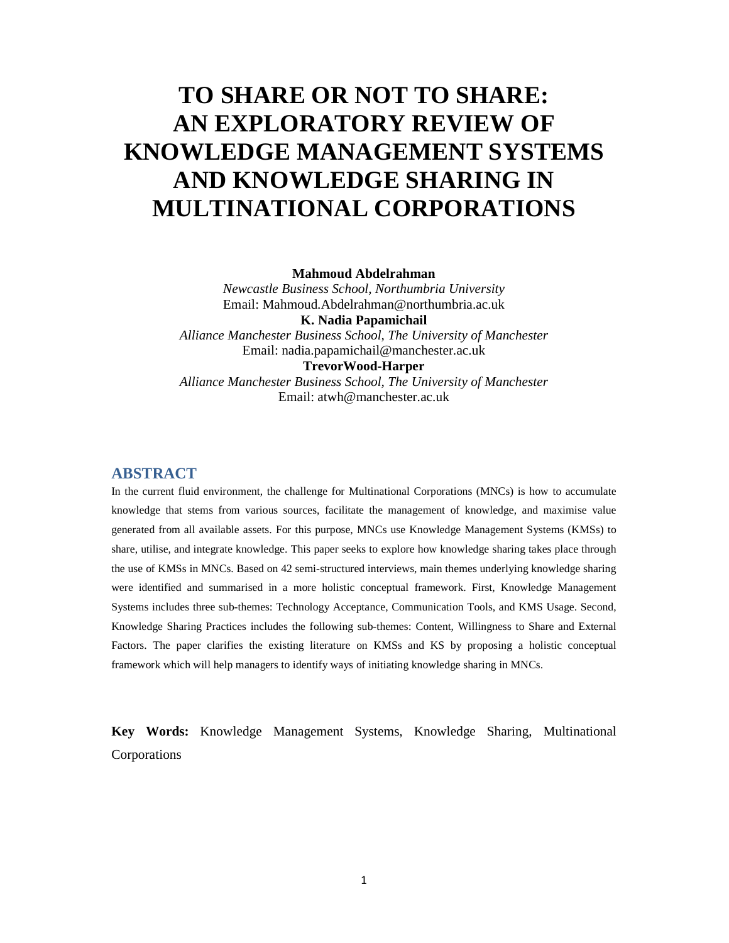# **TO SHARE OR NOT TO SHARE: AN EXPLORATORY REVIEW OF KNOWLEDGE MANAGEMENT SYSTEMS AND KNOWLEDGE SHARING IN MULTINATIONAL CORPORATIONS**

**Mahmoud Abdelrahman** 

*Newcastle Business School, Northumbria University*  Email: Mahmoud.Abdelrahman@northumbria.ac.uk **K. Nadia Papamichail**  *Alliance Manchester Business School, The University of Manchester*  Email: nadia.papamichail@manchester.ac.uk **TrevorWood-Harper**  *Alliance Manchester Business School, The University of Manchester*  Email: atwh@manchester.ac.uk

## **ABSTRACT**

In the current fluid environment, the challenge for Multinational Corporations (MNCs) is how to accumulate knowledge that stems from various sources, facilitate the management of knowledge, and maximise value generated from all available assets. For this purpose, MNCs use Knowledge Management Systems (KMSs) to share, utilise, and integrate knowledge. This paper seeks to explore how knowledge sharing takes place through the use of KMSs in MNCs. Based on 42 semi-structured interviews, main themes underlying knowledge sharing were identified and summarised in a more holistic conceptual framework. First, Knowledge Management Systems includes three sub-themes: Technology Acceptance, Communication Tools, and KMS Usage. Second, Knowledge Sharing Practices includes the following sub-themes: Content, Willingness to Share and External Factors. The paper clarifies the existing literature on KMSs and KS by proposing a holistic conceptual framework which will help managers to identify ways of initiating knowledge sharing in MNCs.

**Key Words:** Knowledge Management Systems, Knowledge Sharing, Multinational Corporations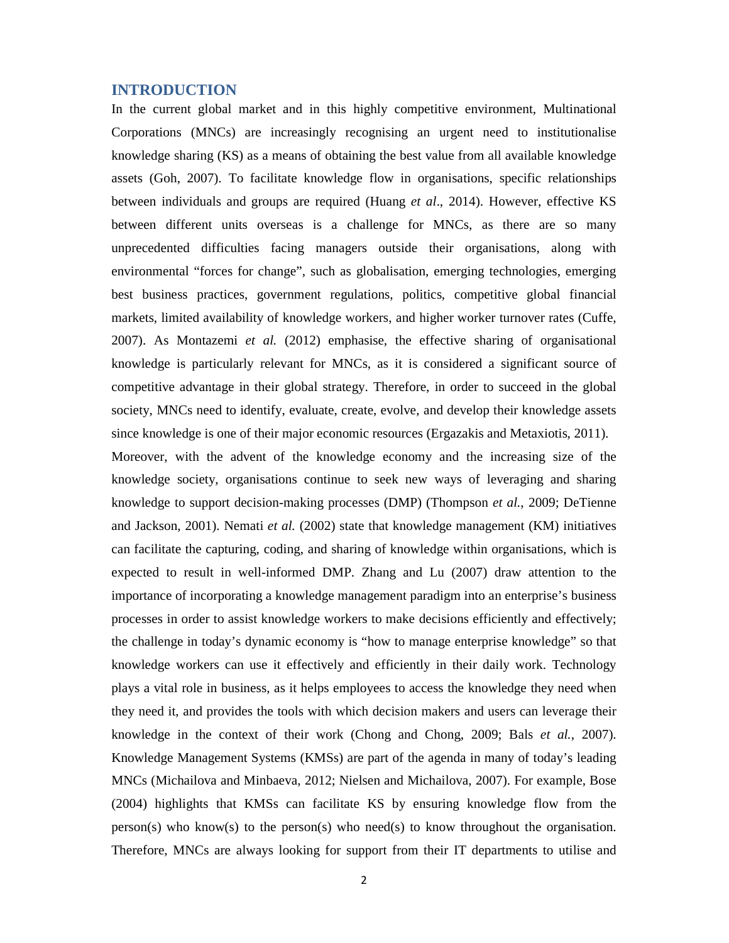# **INTRODUCTION**

In the current global market and in this highly competitive environment, Multinational Corporations (MNCs) are increasingly recognising an urgent need to institutionalise knowledge sharing (KS) as a means of obtaining the best value from all available knowledge assets (Goh, 2007). To facilitate knowledge flow in organisations, specific relationships between individuals and groups are required (Huang *et al*., 2014). However, effective KS between different units overseas is a challenge for MNCs, as there are so many unprecedented difficulties facing managers outside their organisations, along with environmental "forces for change", such as globalisation, emerging technologies, emerging best business practices, government regulations, politics, competitive global financial markets, limited availability of knowledge workers, and higher worker turnover rates (Cuffe, 2007). As Montazemi *et al.* (2012) emphasise, the effective sharing of organisational knowledge is particularly relevant for MNCs, as it is considered a significant source of competitive advantage in their global strategy. Therefore, in order to succeed in the global society, MNCs need to identify, evaluate, create, evolve, and develop their knowledge assets since knowledge is one of their major economic resources (Ergazakis and Metaxiotis, 2011).

Moreover, with the advent of the knowledge economy and the increasing size of the knowledge society, organisations continue to seek new ways of leveraging and sharing knowledge to support decision-making processes (DMP) (Thompson *et al.*, 2009; DeTienne and Jackson, 2001). Nemati *et al.* (2002) state that knowledge management (KM) initiatives can facilitate the capturing, coding, and sharing of knowledge within organisations, which is expected to result in well-informed DMP. Zhang and Lu (2007) draw attention to the importance of incorporating a knowledge management paradigm into an enterprise's business processes in order to assist knowledge workers to make decisions efficiently and effectively; the challenge in today's dynamic economy is "how to manage enterprise knowledge" so that knowledge workers can use it effectively and efficiently in their daily work. Technology plays a vital role in business, as it helps employees to access the knowledge they need when they need it, and provides the tools with which decision makers and users can leverage their knowledge in the context of their work (Chong and Chong, 2009; Bals *et al.*, 2007). Knowledge Management Systems (KMSs) are part of the agenda in many of today's leading MNCs (Michailova and Minbaeva, 2012; Nielsen and Michailova, 2007). For example, Bose (2004) highlights that KMSs can facilitate KS by ensuring knowledge flow from the  $person(s)$  who know(s) to the person(s) who need(s) to know throughout the organisation. Therefore, MNCs are always looking for support from their IT departments to utilise and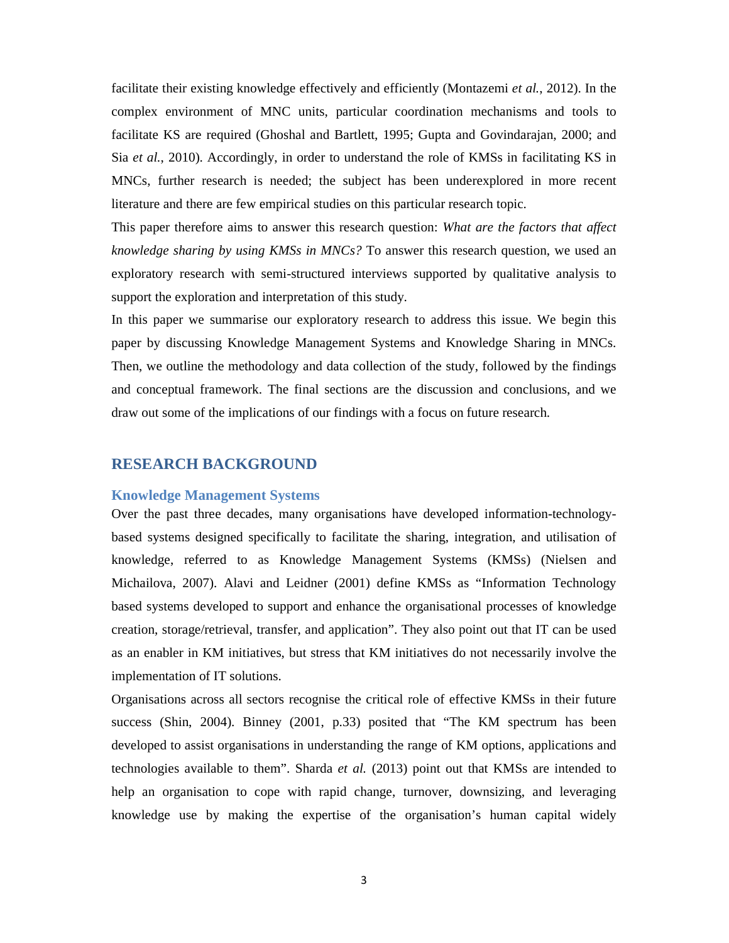facilitate their existing knowledge effectively and efficiently (Montazemi *et al.*, 2012). In the complex environment of MNC units, particular coordination mechanisms and tools to facilitate KS are required (Ghoshal and Bartlett, 1995; Gupta and Govindarajan, 2000; and Sia *et al.*, 2010). Accordingly, in order to understand the role of KMSs in facilitating KS in MNCs, further research is needed; the subject has been underexplored in more recent literature and there are few empirical studies on this particular research topic.

This paper therefore aims to answer this research question: *What are the factors that affect knowledge sharing by using KMSs in MNCs?* To answer this research question, we used an exploratory research with semi-structured interviews supported by qualitative analysis to support the exploration and interpretation of this study.

In this paper we summarise our exploratory research to address this issue. We begin this paper by discussing Knowledge Management Systems and Knowledge Sharing in MNCs. Then, we outline the methodology and data collection of the study, followed by the findings and conceptual framework. The final sections are the discussion and conclusions, and we draw out some of the implications of our findings with a focus on future research.

# **RESEARCH BACKGROUND**

#### **Knowledge Management Systems**

Over the past three decades, many organisations have developed information-technologybased systems designed specifically to facilitate the sharing, integration, and utilisation of knowledge, referred to as Knowledge Management Systems (KMSs) (Nielsen and Michailova, 2007). Alavi and Leidner (2001) define KMSs as "Information Technology based systems developed to support and enhance the organisational processes of knowledge creation, storage/retrieval, transfer, and application". They also point out that IT can be used as an enabler in KM initiatives, but stress that KM initiatives do not necessarily involve the implementation of IT solutions.

Organisations across all sectors recognise the critical role of effective KMSs in their future success (Shin, 2004). Binney (2001, p.33) posited that "The KM spectrum has been developed to assist organisations in understanding the range of KM options, applications and technologies available to them". Sharda *et al.* (2013) point out that KMSs are intended to help an organisation to cope with rapid change, turnover, downsizing, and leveraging knowledge use by making the expertise of the organisation's human capital widely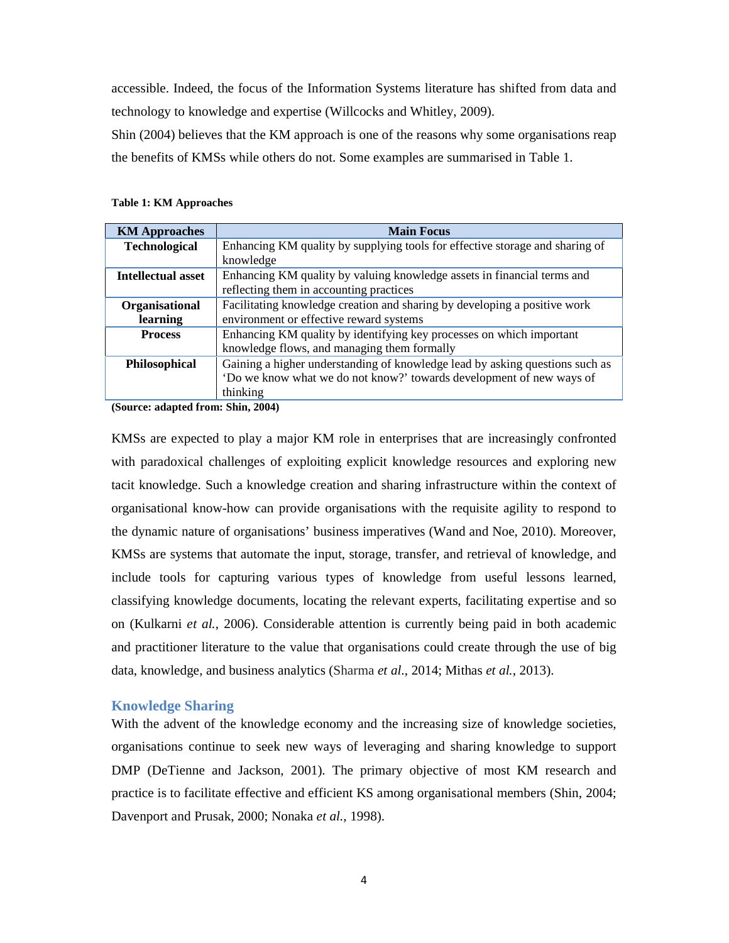accessible. Indeed, the focus of the Information Systems literature has shifted from data and technology to knowledge and expertise (Willcocks and Whitley, 2009).

Shin (2004) believes that the KM approach is one of the reasons why some organisations reap the benefits of KMSs while others do not. Some examples are summarised in Table 1.

|  |  |  | <b>Table 1: KM Approaches</b> |
|--|--|--|-------------------------------|
|--|--|--|-------------------------------|

| <b>KM Approaches</b>                                 | <b>Main Focus</b>                                                            |  |  |  |
|------------------------------------------------------|------------------------------------------------------------------------------|--|--|--|
| <b>Technological</b>                                 | Enhancing KM quality by supplying tools for effective storage and sharing of |  |  |  |
|                                                      | knowledge                                                                    |  |  |  |
| Intellectual asset                                   | Enhancing KM quality by valuing knowledge assets in financial terms and      |  |  |  |
|                                                      | reflecting them in accounting practices                                      |  |  |  |
| Organisational                                       | Facilitating knowledge creation and sharing by developing a positive work    |  |  |  |
| learning                                             | environment or effective reward systems                                      |  |  |  |
| <b>Process</b>                                       | Enhancing KM quality by identifying key processes on which important         |  |  |  |
|                                                      | knowledge flows, and managing them formally                                  |  |  |  |
| Philosophical                                        | Gaining a higher understanding of knowledge lead by asking questions such as |  |  |  |
|                                                      | 'Do we know what we do not know?' towards development of new ways of         |  |  |  |
|                                                      | thinking                                                                     |  |  |  |
| $\sqrt{2}$<br>$\mathbf{1}$ $\mathbf{1}$ $\mathbf{0}$ | $\sim$ $\sim$<br>$A \wedge A$                                                |  |  |  |

**(Source: adapted from: Shin, 2004)**

KMSs are expected to play a major KM role in enterprises that are increasingly confronted with paradoxical challenges of exploiting explicit knowledge resources and exploring new tacit knowledge. Such a knowledge creation and sharing infrastructure within the context of organisational know-how can provide organisations with the requisite agility to respond to the dynamic nature of organisations' business imperatives (Wand and Noe, 2010). Moreover, KMSs are systems that automate the input, storage, transfer, and retrieval of knowledge, and include tools for capturing various types of knowledge from useful lessons learned, classifying knowledge documents, locating the relevant experts, facilitating expertise and so on (Kulkarni *et al.*, 2006). Considerable attention is currently being paid in both academic and practitioner literature to the value that organisations could create through the use of big data, knowledge, and business analytics (Sharma *et al*., 2014; Mithas *et al.*, 2013).

#### **Knowledge Sharing**

With the advent of the knowledge economy and the increasing size of knowledge societies, organisations continue to seek new ways of leveraging and sharing knowledge to support DMP (DeTienne and Jackson, 2001). The primary objective of most KM research and practice is to facilitate effective and efficient KS among organisational members (Shin, 2004; Davenport and Prusak, 2000; Nonaka *et al.*, 1998).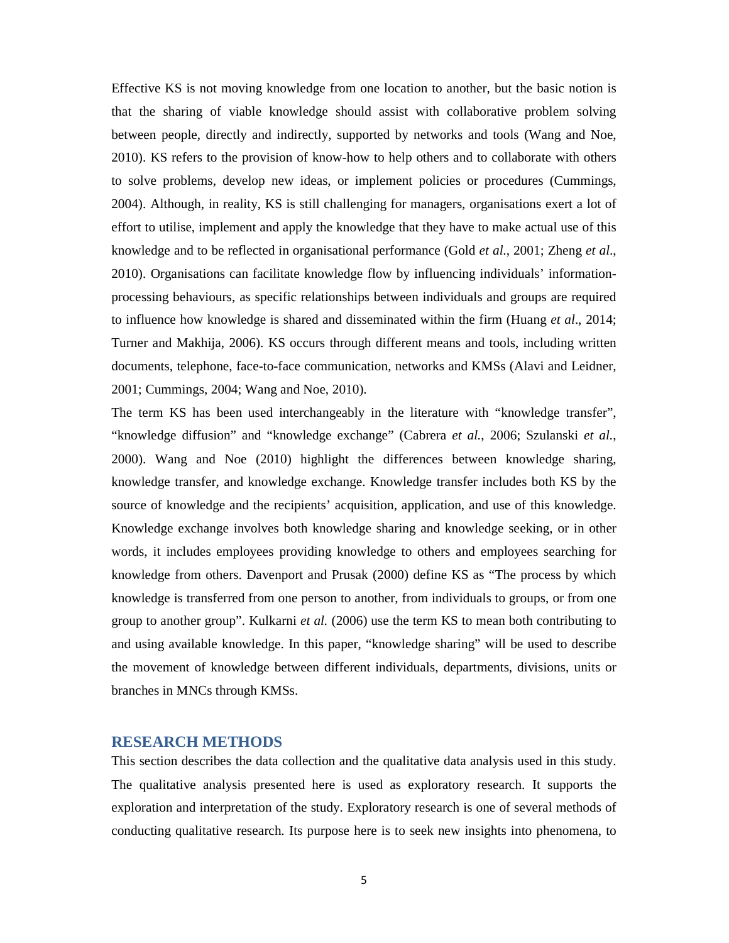Effective KS is not moving knowledge from one location to another, but the basic notion is that the sharing of viable knowledge should assist with collaborative problem solving between people, directly and indirectly, supported by networks and tools (Wang and Noe, 2010). KS refers to the provision of know-how to help others and to collaborate with others to solve problems, develop new ideas, or implement policies or procedures (Cummings, 2004). Although, in reality, KS is still challenging for managers, organisations exert a lot of effort to utilise, implement and apply the knowledge that they have to make actual use of this knowledge and to be reflected in organisational performance (Gold *et al*., 2001; Zheng *et al*., 2010). Organisations can facilitate knowledge flow by influencing individuals' informationprocessing behaviours, as specific relationships between individuals and groups are required to influence how knowledge is shared and disseminated within the firm (Huang *et al*., 2014; Turner and Makhija, 2006). KS occurs through different means and tools, including written documents, telephone, face-to-face communication, networks and KMSs (Alavi and Leidner, 2001; Cummings, 2004; Wang and Noe, 2010).

The term KS has been used interchangeably in the literature with "knowledge transfer", "knowledge diffusion" and "knowledge exchange" (Cabrera *et al.*, 2006; Szulanski *et al.*, 2000). Wang and Noe (2010) highlight the differences between knowledge sharing, knowledge transfer, and knowledge exchange. Knowledge transfer includes both KS by the source of knowledge and the recipients' acquisition, application, and use of this knowledge. Knowledge exchange involves both knowledge sharing and knowledge seeking, or in other words, it includes employees providing knowledge to others and employees searching for knowledge from others. Davenport and Prusak (2000) define KS as "The process by which knowledge is transferred from one person to another, from individuals to groups, or from one group to another group". Kulkarni *et al.* (2006) use the term KS to mean both contributing to and using available knowledge. In this paper, "knowledge sharing" will be used to describe the movement of knowledge between different individuals, departments, divisions, units or branches in MNCs through KMSs.

# **RESEARCH METHODS**

This section describes the data collection and the qualitative data analysis used in this study. The qualitative analysis presented here is used as exploratory research. It supports the exploration and interpretation of the study. Exploratory research is one of several methods of conducting qualitative research. Its purpose here is to seek new insights into phenomena, to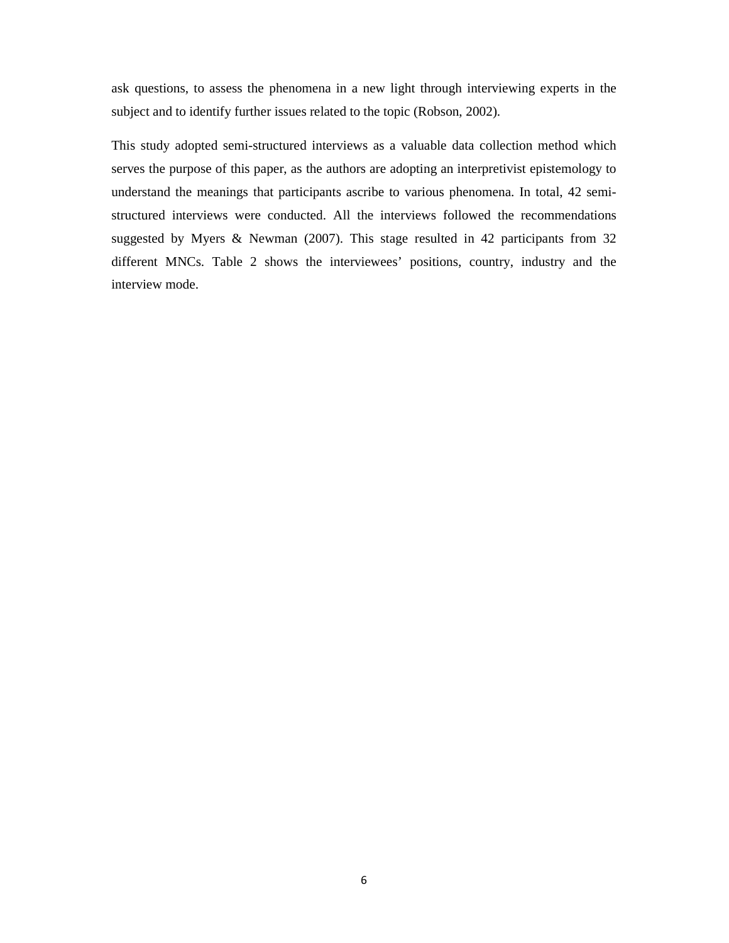ask questions, to assess the phenomena in a new light through interviewing experts in the subject and to identify further issues related to the topic (Robson, 2002).

This study adopted semi-structured interviews as a valuable data collection method which serves the purpose of this paper, as the authors are adopting an interpretivist epistemology to understand the meanings that participants ascribe to various phenomena. In total, 42 semistructured interviews were conducted. All the interviews followed the recommendations suggested by Myers & Newman (2007). This stage resulted in 42 participants from 32 different MNCs. Table 2 shows the interviewees' positions, country, industry and the interview mode.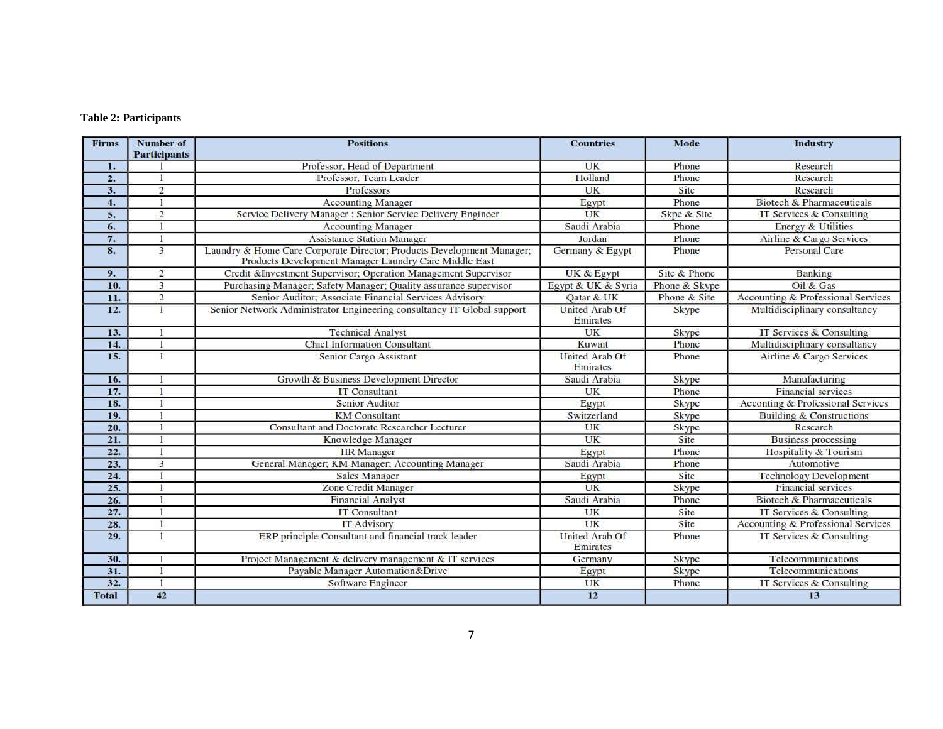# **Table 2: Participants**

| <b>Firms</b> | <b>Number of</b><br><b>Participants</b> | <b>Positions</b>                                                                                                               | <b>Countries</b>                  | Mode          | <b>Industry</b>                      |
|--------------|-----------------------------------------|--------------------------------------------------------------------------------------------------------------------------------|-----------------------------------|---------------|--------------------------------------|
| 1.           |                                         | Professor, Head of Department                                                                                                  | UK                                | Phone         | Research                             |
| 2.           |                                         | Professor, Team Leader                                                                                                         | Holland                           | Phone         | Research                             |
| 3.           | $\overline{2}$                          | Professors                                                                                                                     | UK                                | Site          | Research                             |
| 4.           |                                         | <b>Accounting Manager</b>                                                                                                      | Egypt                             | Phone         | <b>Biotech &amp; Pharmaceuticals</b> |
| 5.           | $\overline{2}$                          | Service Delivery Manager ; Senior Service Delivery Engineer                                                                    | UK                                | Skpe & Site   | IT Services & Consulting             |
| 6.           |                                         | <b>Accounting Manager</b>                                                                                                      | Saudi Arabia                      | Phone         | <b>Energy &amp; Utilities</b>        |
| 7.           |                                         | <b>Assistance Station Manager</b>                                                                                              | Jordan                            | Phone         | Airline & Cargo Services             |
| 8.           | 3                                       | Laundry & Home Care Corporate Director; Products Development Manager;<br>Products Development Manager Laundry Care Middle East | Germany & Egypt                   | Phone         | Personal Care                        |
| 9.           | $\overline{2}$                          | Credit &Investment Supervisor; Operation Management Supervisor                                                                 | UK & Egypt                        | Site & Phone  | Banking                              |
| 10.          | 3                                       | Purchasing Manager; Safety Manager; Quality assurance supervisor                                                               | Egypt & UK & Syria                | Phone & Skype | Oil & Gas                            |
| 11.          | $\overline{2}$                          | Senior Auditor; Associate Financial Services Advisory                                                                          | Qatar & UK                        | Phone & Site  | Accounting & Professional Services   |
| 12.          | 1                                       | Senior Network Administrator Engineering consultancy IT Global support                                                         | <b>United Arab Of</b><br>Emirates | Skype         | Multidisciplinary consultancy        |
| 13.          |                                         | <b>Technical Analyst</b>                                                                                                       | UK                                | Skype         | IT Services & Consulting             |
| 14.          |                                         | <b>Chief Information Consultant</b>                                                                                            | Kuwait                            | Phone         | Multidisciplinary consultancy        |
| 15.          | I.                                      | Senior Cargo Assistant                                                                                                         | United Arab Of<br>Emirates        | Phone         | Airline & Cargo Services             |
| 16.          |                                         | Growth & Business Development Director                                                                                         | Saudi Arabia                      | Skype         | Manufacturing                        |
| 17.          |                                         | <b>IT Consultant</b>                                                                                                           | UK                                | Phone         | <b>Financial services</b>            |
| 18.          |                                         | Senior Auditor                                                                                                                 | Egypt                             | Skype         | Acconting & Professional Services    |
| 19.          |                                         | <b>KM</b> Consultant                                                                                                           | Switzerland                       | Skype         | <b>Building &amp; Constructions</b>  |
| 20.          |                                         | Consultant and Doctorate Researcher Lecturer                                                                                   | UK                                | Skype         | Research                             |
| 21.          |                                         | Knowledge Manager                                                                                                              | UK                                | Site          | <b>Business processing</b>           |
| 22.          |                                         | <b>HR</b> Manager                                                                                                              | Egypt                             | Phone         | Hospitality & Tourism                |
| 23.          | 3                                       | General Manager; KM Manager; Accounting Manager                                                                                | Saudi Arabia                      | Phone         | Automotive                           |
| 24.          |                                         | <b>Sales Manager</b>                                                                                                           | Egypt                             | Site          | <b>Technology Development</b>        |
| 25.          |                                         | Zone Credit Manager                                                                                                            | UK                                | Skype         | <b>Financial services</b>            |
| 26.          |                                         | <b>Financial Analyst</b>                                                                                                       | Saudi Arabia                      | Phone         | Biotech & Pharmaceuticals            |
| 27.          |                                         | <b>IT Consultant</b>                                                                                                           | UK                                | Site          | IT Services & Consulting             |
| 28.          |                                         | <b>IT Advisory</b>                                                                                                             | UK                                | Site          | Accounting & Professional Services   |
| 29.          |                                         | ERP principle Consultant and financial track leader                                                                            | <b>United Arab Of</b><br>Emirates | Phone         | IT Services & Consulting             |
| 30.          |                                         | Project Management & delivery management & IT services                                                                         | Germany                           | Skype         | Telecommunications                   |
| 31.          |                                         | Payable Manager Automation&Drive                                                                                               | Egypt                             | Skype         | Telecommunications                   |
| 32.          |                                         | Software Engineer                                                                                                              | UK                                | Phone         | IT Services & Consulting             |
| <b>Total</b> | 42                                      |                                                                                                                                | 12                                |               | 13                                   |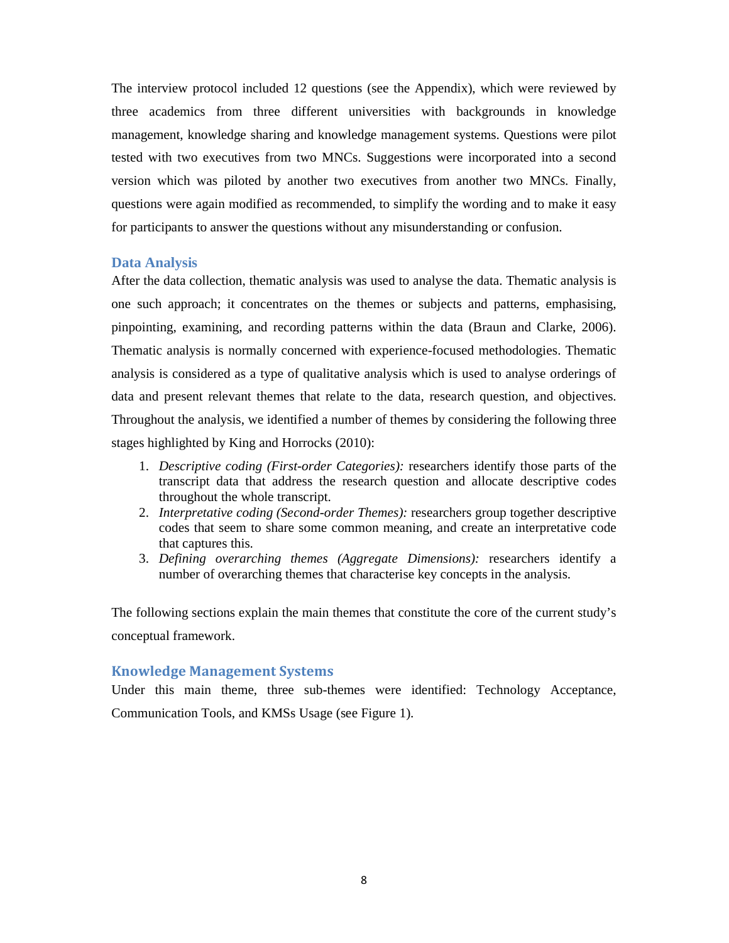The interview protocol included 12 questions (see the Appendix), which were reviewed by three academics from three different universities with backgrounds in knowledge management, knowledge sharing and knowledge management systems. Questions were pilot tested with two executives from two MNCs. Suggestions were incorporated into a second version which was piloted by another two executives from another two MNCs. Finally, questions were again modified as recommended, to simplify the wording and to make it easy for participants to answer the questions without any misunderstanding or confusion.

#### **Data Analysis**

After the data collection, thematic analysis was used to analyse the data. Thematic analysis is one such approach; it concentrates on the themes or subjects and patterns, emphasising, pinpointing, examining, and recording patterns within the data (Braun and Clarke, 2006). Thematic analysis is normally concerned with experience-focused methodologies. Thematic analysis is considered as a type of qualitative analysis which is used to analyse orderings of data and present relevant themes that relate to the data, research question, and objectives. Throughout the analysis, we identified a number of themes by considering the following three stages highlighted by King and Horrocks (2010):

- 1. *Descriptive coding (First-order Categories):* researchers identify those parts of the transcript data that address the research question and allocate descriptive codes throughout the whole transcript.
- 2. *Interpretative coding (Second-order Themes):* researchers group together descriptive codes that seem to share some common meaning, and create an interpretative code that captures this.
- 3. *Defining overarching themes (Aggregate Dimensions):* researchers identify a number of overarching themes that characterise key concepts in the analysis.

The following sections explain the main themes that constitute the core of the current study's conceptual framework.

# **Knowledge Management Systems**

Under this main theme, three sub-themes were identified: Technology Acceptance, Communication Tools, and KMSs Usage (see Figure 1).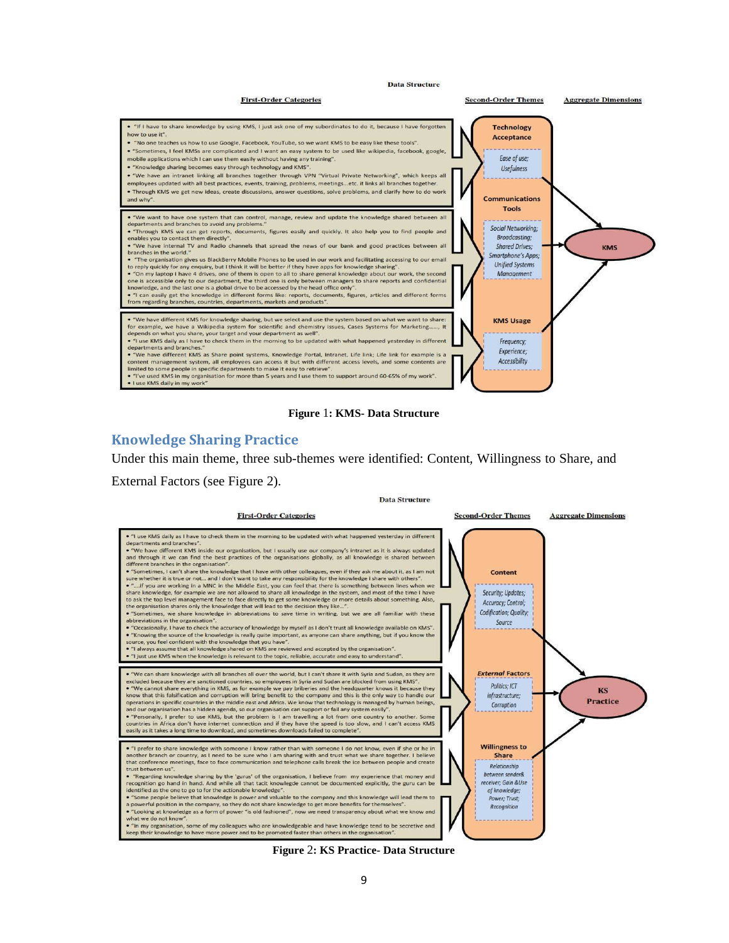

**Figure** 1**: KMS- Data Structure** 

# **Knowledge Sharing Practice**

Under this main theme, three sub-themes were identified: Content, Willingness to Share, and

External Factors (see Figure 2).



**Figure** 2**: KS Practice- Data Structure**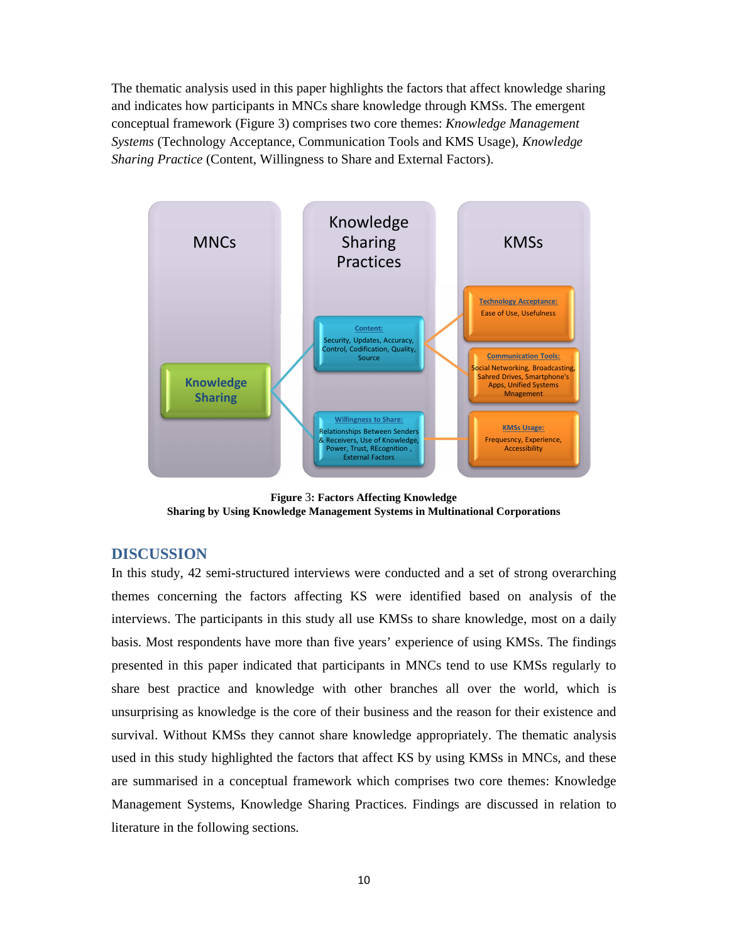The thematic analysis used in this paper highlights the factors that affect knowledge sharing and indicates how participants in MNCs share knowledge through KMSs. The emergent conceptual framework (Figure 3) comprises two core themes: *Knowledge Management Systems* (Technology Acceptance, Communication Tools and KMS Usage), *Knowledge Sharing Practice* (Content, Willingness to Share and External Factors).



**Figure** 3**: Factors Affecting Knowledge Sharing by Using Knowledge Management Systems in Multinational Corporations** 

# **DISCUSSION**

In this study, 42 semi-structured interviews were conducted and a set of strong overarching themes concerning the factors affecting KS were identified based on analysis of the interviews. The participants in this study all use KMSs to share knowledge, most on a daily basis. Most respondents have more than five years' experience of using KMSs. The findings presented in this paper indicated that participants in MNCs tend to use KMSs regularly to share best practice and knowledge with other branches all over the world, which is unsurprising as knowledge is the core of their business and the reason for their existence and survival. Without KMSs they cannot share knowledge appropriately. The thematic analysis used in this study highlighted the factors that affect KS by using KMSs in MNCs, and these are summarised in a conceptual framework which comprises two core themes: Knowledge Management Systems, Knowledge Sharing Practices. Findings are discussed in relation to literature in the following sections.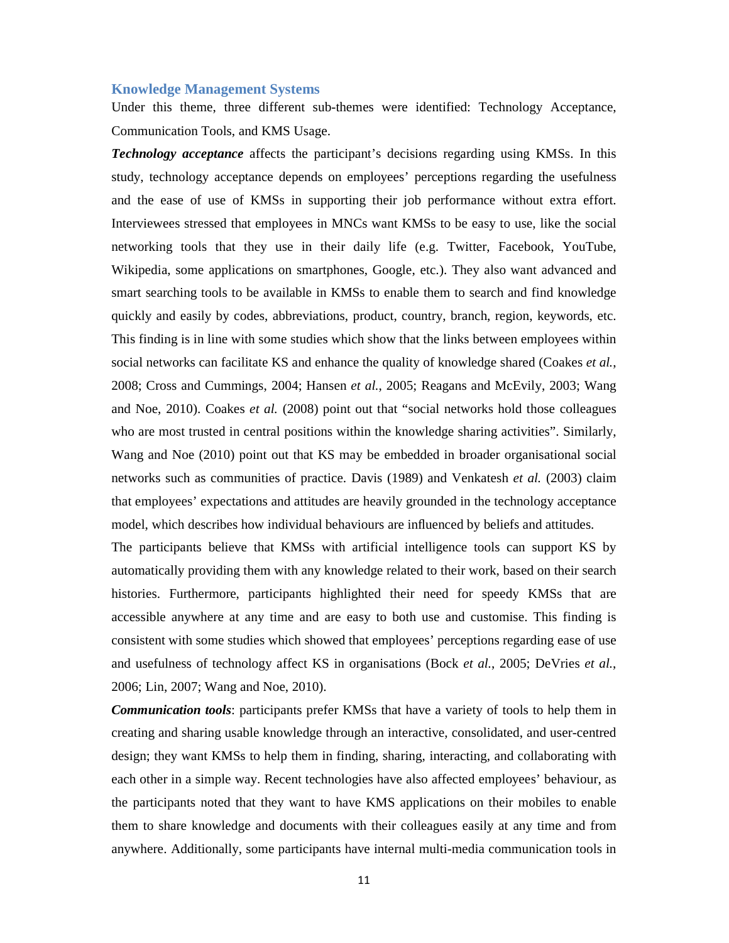#### **Knowledge Management Systems**

Under this theme, three different sub-themes were identified: Technology Acceptance, Communication Tools, and KMS Usage.

*Technology acceptance* affects the participant's decisions regarding using KMSs. In this study, technology acceptance depends on employees' perceptions regarding the usefulness and the ease of use of KMSs in supporting their job performance without extra effort. Interviewees stressed that employees in MNCs want KMSs to be easy to use, like the social networking tools that they use in their daily life (e.g. Twitter, Facebook, YouTube, Wikipedia, some applications on smartphones, Google, etc.). They also want advanced and smart searching tools to be available in KMSs to enable them to search and find knowledge quickly and easily by codes, abbreviations, product, country, branch, region, keywords, etc. This finding is in line with some studies which show that the links between employees within social networks can facilitate KS and enhance the quality of knowledge shared (Coakes *et al.*, 2008; Cross and Cummings, 2004; Hansen *et al.*, 2005; Reagans and McEvily, 2003; Wang and Noe, 2010). Coakes *et al.* (2008) point out that "social networks hold those colleagues who are most trusted in central positions within the knowledge sharing activities". Similarly, Wang and Noe (2010) point out that KS may be embedded in broader organisational social networks such as communities of practice. Davis (1989) and Venkatesh *et al.* (2003) claim that employees' expectations and attitudes are heavily grounded in the technology acceptance model, which describes how individual behaviours are influenced by beliefs and attitudes.

The participants believe that KMSs with artificial intelligence tools can support KS by automatically providing them with any knowledge related to their work, based on their search histories. Furthermore, participants highlighted their need for speedy KMSs that are accessible anywhere at any time and are easy to both use and customise. This finding is consistent with some studies which showed that employees' perceptions regarding ease of use and usefulness of technology affect KS in organisations (Bock *et al.*, 2005; DeVries *et al.*, 2006; Lin, 2007; Wang and Noe, 2010).

*Communication tools*: participants prefer KMSs that have a variety of tools to help them in creating and sharing usable knowledge through an interactive, consolidated, and user-centred design; they want KMSs to help them in finding, sharing, interacting, and collaborating with each other in a simple way. Recent technologies have also affected employees' behaviour, as the participants noted that they want to have KMS applications on their mobiles to enable them to share knowledge and documents with their colleagues easily at any time and from anywhere. Additionally, some participants have internal multi-media communication tools in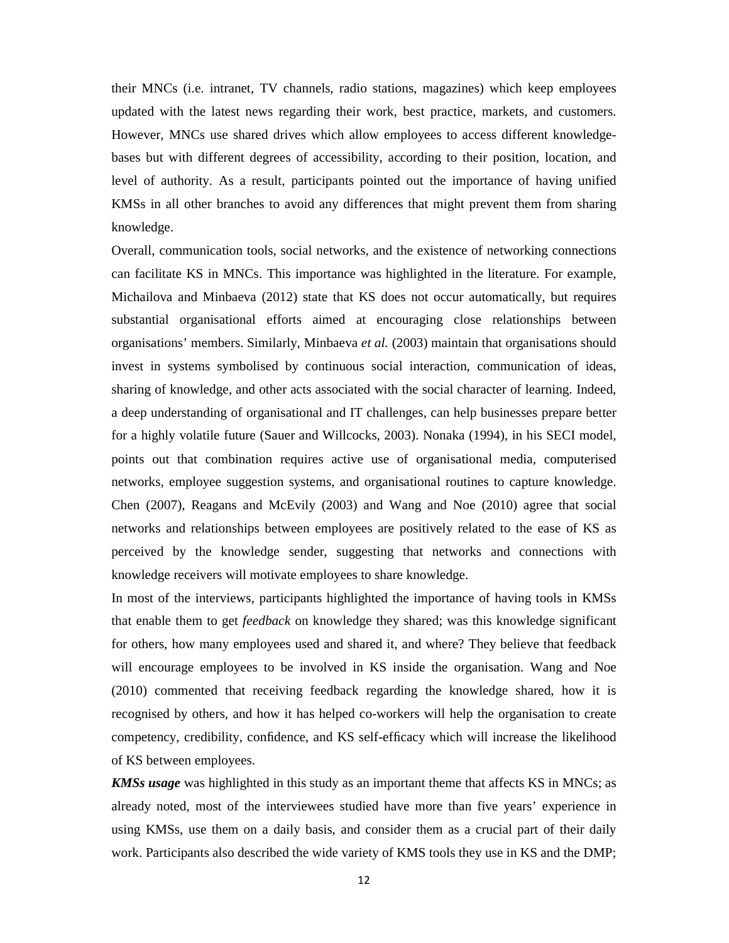their MNCs (i.e. intranet, TV channels, radio stations, magazines) which keep employees updated with the latest news regarding their work, best practice, markets, and customers. However, MNCs use shared drives which allow employees to access different knowledgebases but with different degrees of accessibility, according to their position, location, and level of authority. As a result, participants pointed out the importance of having unified KMSs in all other branches to avoid any differences that might prevent them from sharing knowledge.

Overall, communication tools, social networks, and the existence of networking connections can facilitate KS in MNCs. This importance was highlighted in the literature. For example, Michailova and Minbaeva (2012) state that KS does not occur automatically, but requires substantial organisational efforts aimed at encouraging close relationships between organisations' members. Similarly, Minbaeva *et al.* (2003) maintain that organisations should invest in systems symbolised by continuous social interaction, communication of ideas, sharing of knowledge, and other acts associated with the social character of learning. Indeed, a deep understanding of organisational and IT challenges, can help businesses prepare better for a highly volatile future (Sauer and Willcocks, 2003). Nonaka (1994), in his SECI model, points out that combination requires active use of organisational media, computerised networks, employee suggestion systems, and organisational routines to capture knowledge. Chen (2007), Reagans and McEvily (2003) and Wang and Noe (2010) agree that social networks and relationships between employees are positively related to the ease of KS as perceived by the knowledge sender, suggesting that networks and connections with knowledge receivers will motivate employees to share knowledge.

In most of the interviews, participants highlighted the importance of having tools in KMSs that enable them to get *feedback* on knowledge they shared; was this knowledge significant for others, how many employees used and shared it, and where? They believe that feedback will encourage employees to be involved in KS inside the organisation. Wang and Noe (2010) commented that receiving feedback regarding the knowledge shared, how it is recognised by others, and how it has helped co-workers will help the organisation to create competency, credibility, confidence, and KS self-efficacy which will increase the likelihood of KS between employees.

*KMSs usage* was highlighted in this study as an important theme that affects KS in MNCs; as already noted, most of the interviewees studied have more than five years' experience in using KMSs, use them on a daily basis, and consider them as a crucial part of their daily work. Participants also described the wide variety of KMS tools they use in KS and the DMP;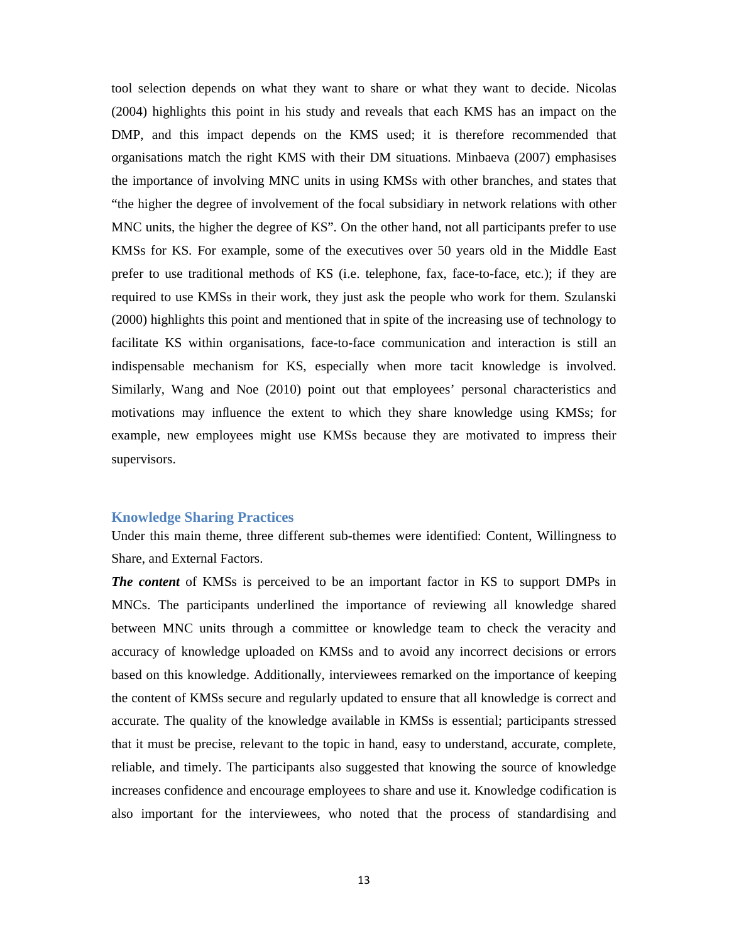tool selection depends on what they want to share or what they want to decide. Nicolas (2004) highlights this point in his study and reveals that each KMS has an impact on the DMP, and this impact depends on the KMS used; it is therefore recommended that organisations match the right KMS with their DM situations. Minbaeva (2007) emphasises the importance of involving MNC units in using KMSs with other branches, and states that "the higher the degree of involvement of the focal subsidiary in network relations with other MNC units, the higher the degree of KS"*.* On the other hand, not all participants prefer to use KMSs for KS. For example, some of the executives over 50 years old in the Middle East prefer to use traditional methods of KS (i.e. telephone, fax, face-to-face, etc.); if they are required to use KMSs in their work, they just ask the people who work for them. Szulanski (2000) highlights this point and mentioned that in spite of the increasing use of technology to facilitate KS within organisations, face-to-face communication and interaction is still an indispensable mechanism for KS, especially when more tacit knowledge is involved. Similarly, Wang and Noe (2010) point out that employees' personal characteristics and motivations may influence the extent to which they share knowledge using KMSs; for example, new employees might use KMSs because they are motivated to impress their supervisors.

#### **Knowledge Sharing Practices**

Under this main theme, three different sub-themes were identified: Content, Willingness to Share, and External Factors.

*The content* of KMSs is perceived to be an important factor in KS to support DMPs in MNCs. The participants underlined the importance of reviewing all knowledge shared between MNC units through a committee or knowledge team to check the veracity and accuracy of knowledge uploaded on KMSs and to avoid any incorrect decisions or errors based on this knowledge. Additionally, interviewees remarked on the importance of keeping the content of KMSs secure and regularly updated to ensure that all knowledge is correct and accurate. The quality of the knowledge available in KMSs is essential; participants stressed that it must be precise, relevant to the topic in hand, easy to understand, accurate, complete, reliable, and timely. The participants also suggested that knowing the source of knowledge increases confidence and encourage employees to share and use it. Knowledge codification is also important for the interviewees, who noted that the process of standardising and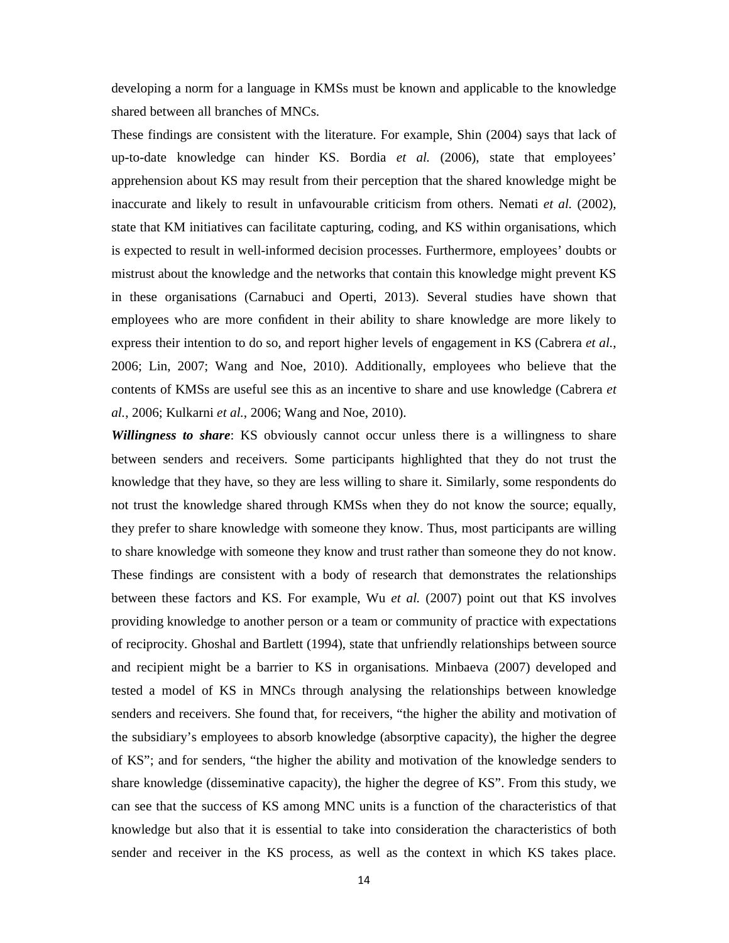developing a norm for a language in KMSs must be known and applicable to the knowledge shared between all branches of MNCs.

These findings are consistent with the literature. For example, Shin (2004) says that lack of up-to-date knowledge can hinder KS. Bordia *et al.* (2006), state that employees' apprehension about KS may result from their perception that the shared knowledge might be inaccurate and likely to result in unfavourable criticism from others. Nemati *et al.* (2002), state that KM initiatives can facilitate capturing, coding, and KS within organisations, which is expected to result in well-informed decision processes. Furthermore, employees' doubts or mistrust about the knowledge and the networks that contain this knowledge might prevent KS in these organisations (Carnabuci and Operti, 2013). Several studies have shown that employees who are more confident in their ability to share knowledge are more likely to express their intention to do so, and report higher levels of engagement in KS (Cabrera *et al.*, 2006; Lin, 2007; Wang and Noe, 2010). Additionally, employees who believe that the contents of KMSs are useful see this as an incentive to share and use knowledge (Cabrera *et al.*, 2006; Kulkarni *et al.*, 2006; Wang and Noe, 2010).

*Willingness to share*: KS obviously cannot occur unless there is a willingness to share between senders and receivers. Some participants highlighted that they do not trust the knowledge that they have, so they are less willing to share it. Similarly, some respondents do not trust the knowledge shared through KMSs when they do not know the source; equally, they prefer to share knowledge with someone they know. Thus, most participants are willing to share knowledge with someone they know and trust rather than someone they do not know. These findings are consistent with a body of research that demonstrates the relationships between these factors and KS. For example, Wu *et al.* (2007) point out that KS involves providing knowledge to another person or a team or community of practice with expectations of reciprocity. Ghoshal and Bartlett (1994), state that unfriendly relationships between source and recipient might be a barrier to KS in organisations. Minbaeva (2007) developed and tested a model of KS in MNCs through analysing the relationships between knowledge senders and receivers. She found that, for receivers, "the higher the ability and motivation of the subsidiary's employees to absorb knowledge (absorptive capacity), the higher the degree of KS"; and for senders, "the higher the ability and motivation of the knowledge senders to share knowledge (disseminative capacity), the higher the degree of KS". From this study, we can see that the success of KS among MNC units is a function of the characteristics of that knowledge but also that it is essential to take into consideration the characteristics of both sender and receiver in the KS process, as well as the context in which KS takes place.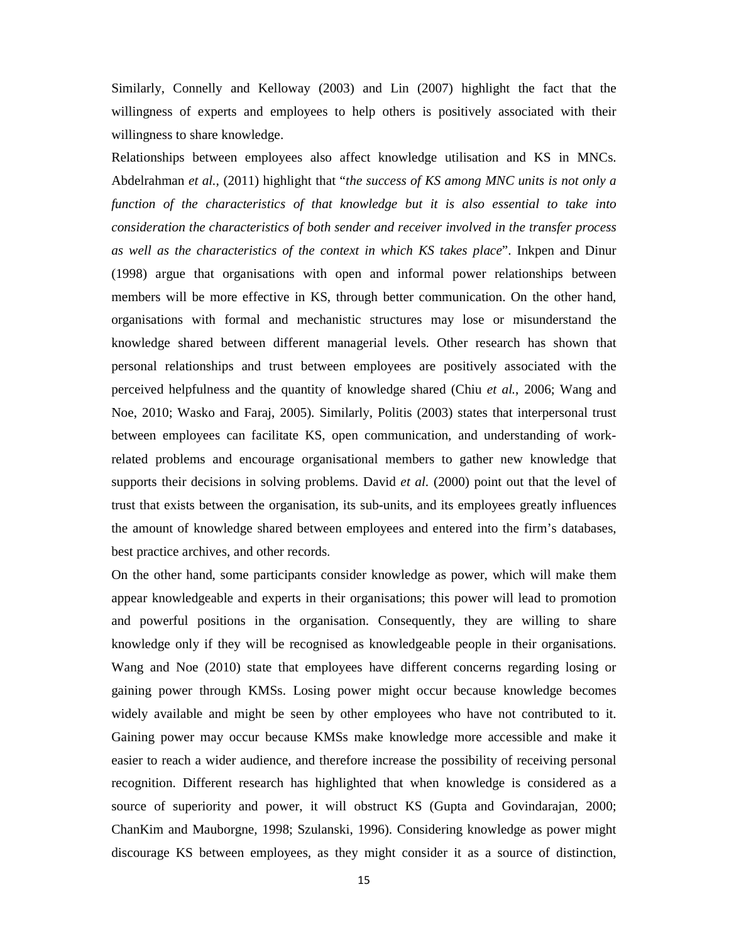Similarly, Connelly and Kelloway (2003) and Lin (2007) highlight the fact that the willingness of experts and employees to help others is positively associated with their willingness to share knowledge.

Relationships between employees also affect knowledge utilisation and KS in MNCs. Abdelrahman *et al.,* (2011) highlight that "*the success of KS among MNC units is not only a function of the characteristics of that knowledge but it is also essential to take into consideration the characteristics of both sender and receiver involved in the transfer process as well as the characteristics of the context in which KS takes place*". Inkpen and Dinur (1998) argue that organisations with open and informal power relationships between members will be more effective in KS, through better communication. On the other hand, organisations with formal and mechanistic structures may lose or misunderstand the knowledge shared between different managerial levels. Other research has shown that personal relationships and trust between employees are positively associated with the perceived helpfulness and the quantity of knowledge shared (Chiu *et al.*, 2006; Wang and Noe, 2010; Wasko and Faraj, 2005). Similarly, Politis (2003) states that interpersonal trust between employees can facilitate KS, open communication, and understanding of workrelated problems and encourage organisational members to gather new knowledge that supports their decisions in solving problems. David *et al.* (2000) point out that the level of trust that exists between the organisation, its sub-units, and its employees greatly influences the amount of knowledge shared between employees and entered into the firm's databases, best practice archives, and other records.

On the other hand, some participants consider knowledge as power, which will make them appear knowledgeable and experts in their organisations; this power will lead to promotion and powerful positions in the organisation. Consequently, they are willing to share knowledge only if they will be recognised as knowledgeable people in their organisations. Wang and Noe (2010) state that employees have different concerns regarding losing or gaining power through KMSs. Losing power might occur because knowledge becomes widely available and might be seen by other employees who have not contributed to it. Gaining power may occur because KMSs make knowledge more accessible and make it easier to reach a wider audience, and therefore increase the possibility of receiving personal recognition. Different research has highlighted that when knowledge is considered as a source of superiority and power, it will obstruct KS (Gupta and Govindarajan, 2000; ChanKim and Mauborgne, 1998; Szulanski, 1996). Considering knowledge as power might discourage KS between employees, as they might consider it as a source of distinction,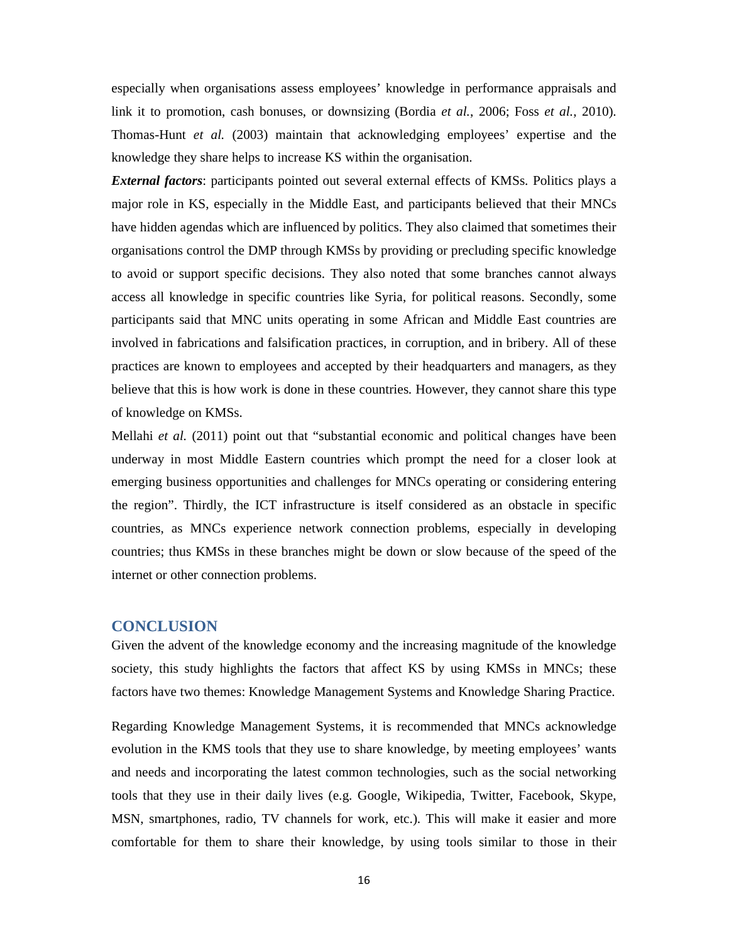especially when organisations assess employees' knowledge in performance appraisals and link it to promotion, cash bonuses, or downsizing (Bordia *et al.*, 2006; Foss *et al.*, 2010). Thomas-Hunt *et al.* (2003) maintain that acknowledging employees' expertise and the knowledge they share helps to increase KS within the organisation.

*External factors*: participants pointed out several external effects of KMSs. Politics plays a major role in KS, especially in the Middle East, and participants believed that their MNCs have hidden agendas which are influenced by politics. They also claimed that sometimes their organisations control the DMP through KMSs by providing or precluding specific knowledge to avoid or support specific decisions. They also noted that some branches cannot always access all knowledge in specific countries like Syria, for political reasons. Secondly, some participants said that MNC units operating in some African and Middle East countries are involved in fabrications and falsification practices, in corruption, and in bribery. All of these practices are known to employees and accepted by their headquarters and managers, as they believe that this is how work is done in these countries. However, they cannot share this type of knowledge on KMSs.

Mellahi *et al.* (2011) point out that "substantial economic and political changes have been underway in most Middle Eastern countries which prompt the need for a closer look at emerging business opportunities and challenges for MNCs operating or considering entering the region". Thirdly, the ICT infrastructure is itself considered as an obstacle in specific countries, as MNCs experience network connection problems, especially in developing countries; thus KMSs in these branches might be down or slow because of the speed of the internet or other connection problems.

#### **CONCLUSION**

Given the advent of the knowledge economy and the increasing magnitude of the knowledge society, this study highlights the factors that affect KS by using KMSs in MNCs; these factors have two themes: Knowledge Management Systems and Knowledge Sharing Practice.

Regarding Knowledge Management Systems, it is recommended that MNCs acknowledge evolution in the KMS tools that they use to share knowledge, by meeting employees' wants and needs and incorporating the latest common technologies, such as the social networking tools that they use in their daily lives (e.g. Google, Wikipedia, Twitter, Facebook, Skype, MSN, smartphones, radio, TV channels for work, etc.). This will make it easier and more comfortable for them to share their knowledge, by using tools similar to those in their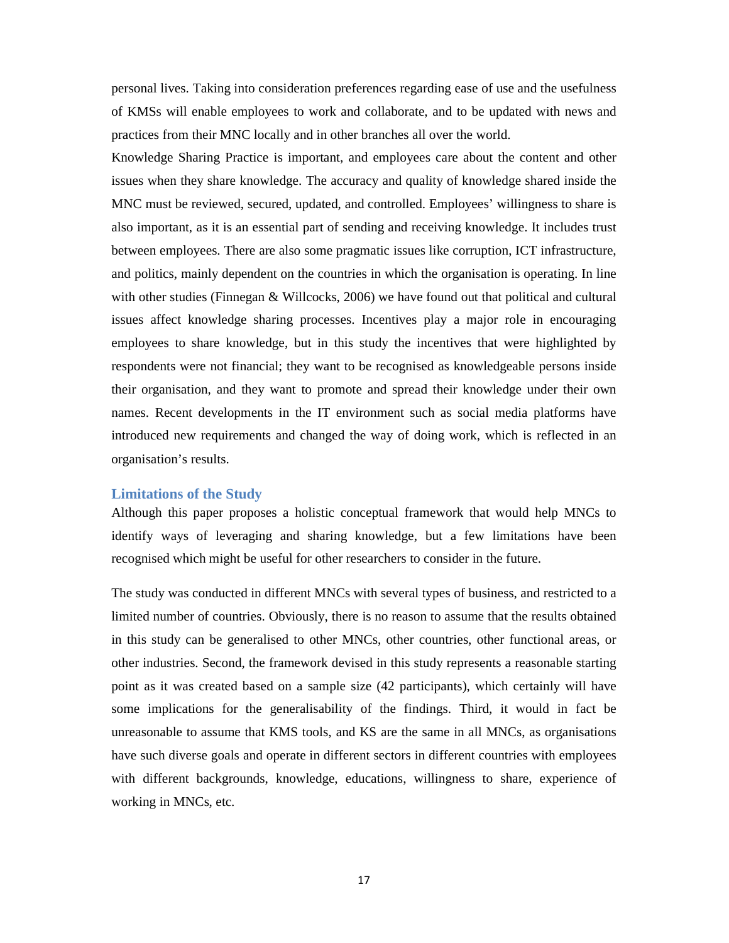personal lives. Taking into consideration preferences regarding ease of use and the usefulness of KMSs will enable employees to work and collaborate, and to be updated with news and practices from their MNC locally and in other branches all over the world.

Knowledge Sharing Practice is important, and employees care about the content and other issues when they share knowledge. The accuracy and quality of knowledge shared inside the MNC must be reviewed, secured, updated, and controlled. Employees' willingness to share is also important, as it is an essential part of sending and receiving knowledge. It includes trust between employees. There are also some pragmatic issues like corruption, ICT infrastructure, and politics, mainly dependent on the countries in which the organisation is operating. In line with other studies (Finnegan & Willcocks, 2006) we have found out that political and cultural issues affect knowledge sharing processes. Incentives play a major role in encouraging employees to share knowledge, but in this study the incentives that were highlighted by respondents were not financial; they want to be recognised as knowledgeable persons inside their organisation, and they want to promote and spread their knowledge under their own names. Recent developments in the IT environment such as social media platforms have introduced new requirements and changed the way of doing work, which is reflected in an organisation's results.

#### **Limitations of the Study**

Although this paper proposes a holistic conceptual framework that would help MNCs to identify ways of leveraging and sharing knowledge, but a few limitations have been recognised which might be useful for other researchers to consider in the future.

The study was conducted in different MNCs with several types of business, and restricted to a limited number of countries. Obviously, there is no reason to assume that the results obtained in this study can be generalised to other MNCs, other countries, other functional areas, or other industries. Second, the framework devised in this study represents a reasonable starting point as it was created based on a sample size (42 participants), which certainly will have some implications for the generalisability of the findings. Third, it would in fact be unreasonable to assume that KMS tools, and KS are the same in all MNCs, as organisations have such diverse goals and operate in different sectors in different countries with employees with different backgrounds, knowledge, educations, willingness to share, experience of working in MNCs, etc.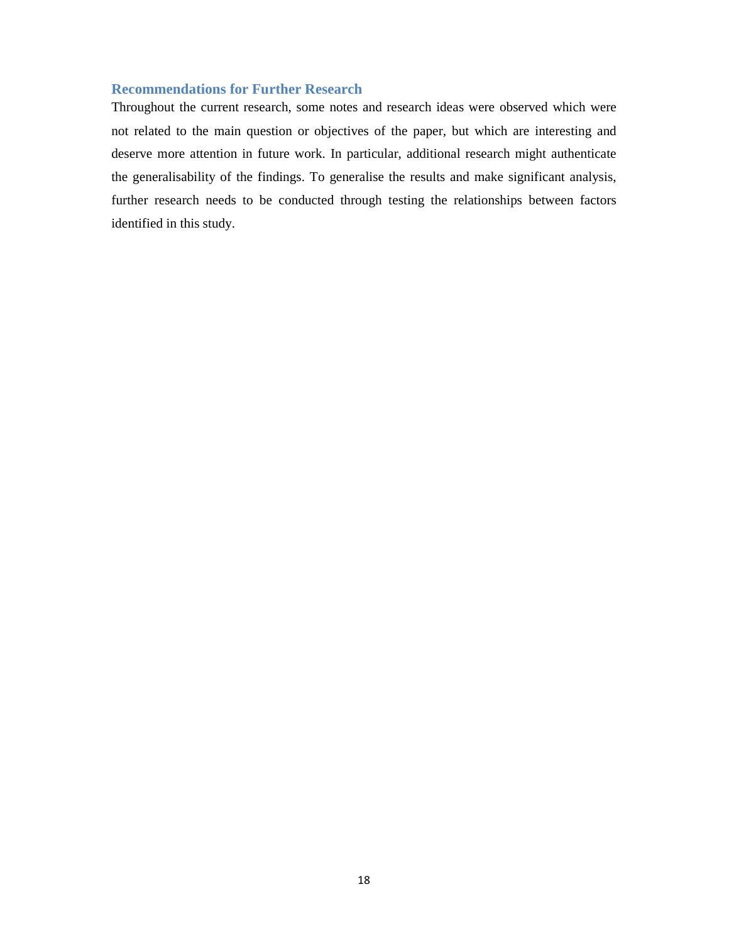# **Recommendations for Further Research**

Throughout the current research, some notes and research ideas were observed which were not related to the main question or objectives of the paper, but which are interesting and deserve more attention in future work. In particular, additional research might authenticate the generalisability of the findings. To generalise the results and make significant analysis, further research needs to be conducted through testing the relationships between factors identified in this study.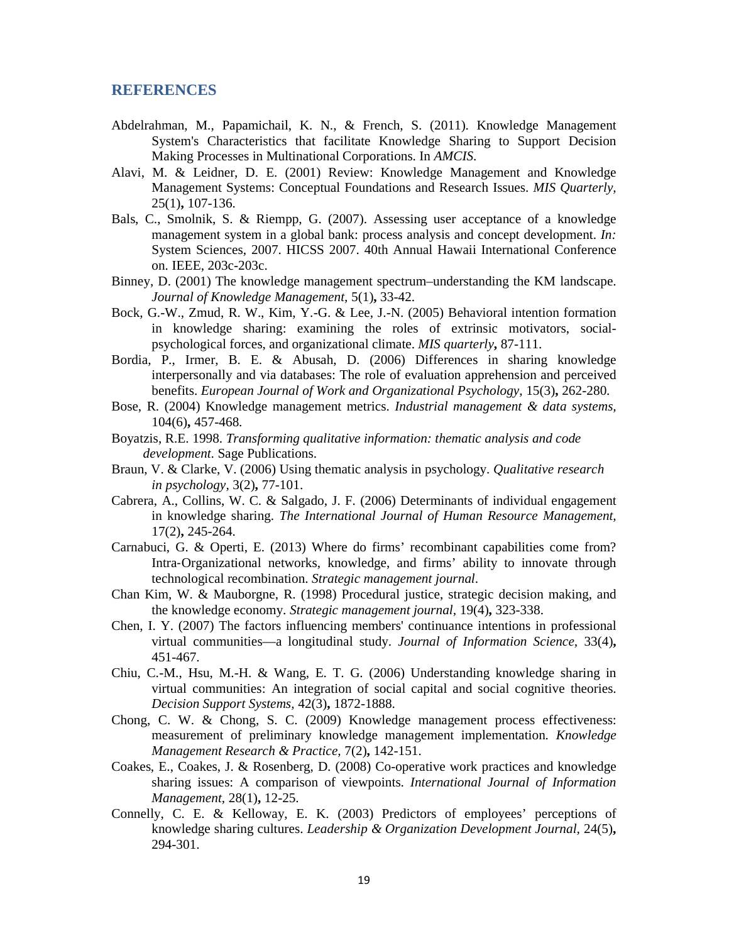## **REFERENCES**

- Abdelrahman, M., Papamichail, K. N., & French, S. (2011). Knowledge Management System's Characteristics that facilitate Knowledge Sharing to Support Decision Making Processes in Multinational Corporations. In *AMCIS*.
- Alavi, M. & Leidner, D. E. (2001) Review: Knowledge Management and Knowledge Management Systems: Conceptual Foundations and Research Issues. *MIS Quarterly,* 25(1)**,** 107-136.
- Bals, C., Smolnik, S. & Riempp, G. (2007). Assessing user acceptance of a knowledge management system in a global bank: process analysis and concept development. *In:*  System Sciences, 2007. HICSS 2007. 40th Annual Hawaii International Conference on. IEEE, 203c-203c.
- Binney, D. (2001) The knowledge management spectrum–understanding the KM landscape. *Journal of Knowledge Management,* 5(1)**,** 33-42.
- Bock, G.-W., Zmud, R. W., Kim, Y.-G. & Lee, J.-N. (2005) Behavioral intention formation in knowledge sharing: examining the roles of extrinsic motivators, socialpsychological forces, and organizational climate. *MIS quarterly***,** 87-111.
- Bordia, P., Irmer, B. E. & Abusah, D. (2006) Differences in sharing knowledge interpersonally and via databases: The role of evaluation apprehension and perceived benefits. *European Journal of Work and Organizational Psychology,* 15(3)**,** 262-280.
- Bose, R. (2004) Knowledge management metrics. *Industrial management & data systems,* 104(6)**,** 457-468.
- Boyatzis, R.E. 1998. *Transforming qualitative information: thematic analysis and code development*. Sage Publications.
- Braun, V. & Clarke, V. (2006) Using thematic analysis in psychology. *Qualitative research in psychology,* 3(2)**,** 77-101.
- Cabrera, A., Collins, W. C. & Salgado, J. F. (2006) Determinants of individual engagement in knowledge sharing. *The International Journal of Human Resource Management,* 17(2)**,** 245-264.
- Carnabuci, G. & Operti, E. (2013) Where do firms' recombinant capabilities come from? Intra‐Organizational networks, knowledge, and firms' ability to innovate through technological recombination. *Strategic management journal*.
- Chan Kim, W. & Mauborgne, R. (1998) Procedural justice, strategic decision making, and the knowledge economy. *Strategic management journal,* 19(4)**,** 323-338.
- Chen, I. Y. (2007) The factors influencing members' continuance intentions in professional virtual communities—a longitudinal study. *Journal of Information Science,* 33(4)**,** 451-467.
- Chiu, C.-M., Hsu, M.-H. & Wang, E. T. G. (2006) Understanding knowledge sharing in virtual communities: An integration of social capital and social cognitive theories. *Decision Support Systems,* 42(3)**,** 1872-1888.
- Chong, C. W. & Chong, S. C. (2009) Knowledge management process effectiveness: measurement of preliminary knowledge management implementation. *Knowledge Management Research & Practice,* 7(2)**,** 142-151.
- Coakes, E., Coakes, J. & Rosenberg, D. (2008) Co-operative work practices and knowledge sharing issues: A comparison of viewpoints. *International Journal of Information Management,* 28(1)**,** 12-25.
- Connelly, C. E. & Kelloway, E. K. (2003) Predictors of employees' perceptions of knowledge sharing cultures. *Leadership & Organization Development Journal,* 24(5)**,** 294-301.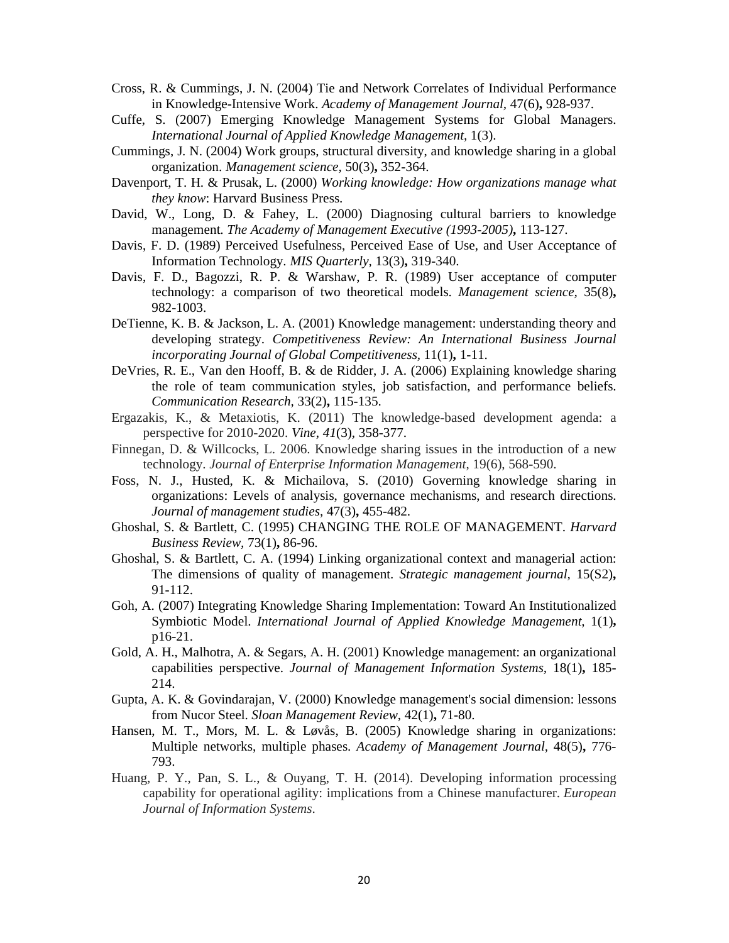- Cross, R. & Cummings, J. N. (2004) Tie and Network Correlates of Individual Performance in Knowledge-Intensive Work. *Academy of Management Journal,* 47(6)**,** 928-937.
- Cuffe, S. (2007) Emerging Knowledge Management Systems for Global Managers. *International Journal of Applied Knowledge Management,* 1(3).
- Cummings, J. N. (2004) Work groups, structural diversity, and knowledge sharing in a global organization. *Management science,* 50(3)**,** 352-364.
- Davenport, T. H. & Prusak, L. (2000) *Working knowledge: How organizations manage what they know*: Harvard Business Press.
- David, W., Long, D. & Fahey, L. (2000) Diagnosing cultural barriers to knowledge management. *The Academy of Management Executive (1993-2005)***,** 113-127.
- Davis, F. D. (1989) Perceived Usefulness, Perceived Ease of Use, and User Acceptance of Information Technology. *MIS Quarterly,* 13(3)**,** 319-340.
- Davis, F. D., Bagozzi, R. P. & Warshaw, P. R. (1989) User acceptance of computer technology: a comparison of two theoretical models. *Management science,* 35(8)**,** 982-1003.
- DeTienne, K. B. & Jackson, L. A. (2001) Knowledge management: understanding theory and developing strategy. *Competitiveness Review: An International Business Journal incorporating Journal of Global Competitiveness,* 11(1)**,** 1-11.
- DeVries, R. E., Van den Hooff, B. & de Ridder, J. A. (2006) Explaining knowledge sharing the role of team communication styles, job satisfaction, and performance beliefs. *Communication Research,* 33(2)**,** 115-135.
- Ergazakis, K., & Metaxiotis, K. (2011) The knowledge-based development agenda: a perspective for 2010-2020. *Vine*, *41*(3), 358-377.
- Finnegan, D. & Willcocks, L. 2006. Knowledge sharing issues in the introduction of a new technology. *Journal of Enterprise Information Management*, 19(6), 568-590.
- Foss, N. J., Husted, K. & Michailova, S. (2010) Governing knowledge sharing in organizations: Levels of analysis, governance mechanisms, and research directions. *Journal of management studies,* 47(3)**,** 455-482.
- Ghoshal, S. & Bartlett, C. (1995) CHANGING THE ROLE OF MANAGEMENT. *Harvard Business Review,* 73(1)**,** 86-96.
- Ghoshal, S. & Bartlett, C. A. (1994) Linking organizational context and managerial action: The dimensions of quality of management. *Strategic management journal,* 15(S2)**,** 91-112.
- Goh, A. (2007) Integrating Knowledge Sharing Implementation: Toward An Institutionalized Symbiotic Model. *International Journal of Applied Knowledge Management,* 1(1)**,** p16-21.
- Gold, A. H., Malhotra, A. & Segars, A. H. (2001) Knowledge management: an organizational capabilities perspective. *Journal of Management Information Systems,* 18(1)**,** 185- 214.
- Gupta, A. K. & Govindarajan, V. (2000) Knowledge management's social dimension: lessons from Nucor Steel. *Sloan Management Review,* 42(1)**,** 71-80.
- Hansen, M. T., Mors, M. L. & Løvås, B. (2005) Knowledge sharing in organizations: Multiple networks, multiple phases. *Academy of Management Journal,* 48(5)**,** 776- 793.
- Huang, P. Y., Pan, S. L., & Ouyang, T. H. (2014). Developing information processing capability for operational agility: implications from a Chinese manufacturer. *European Journal of Information Systems*.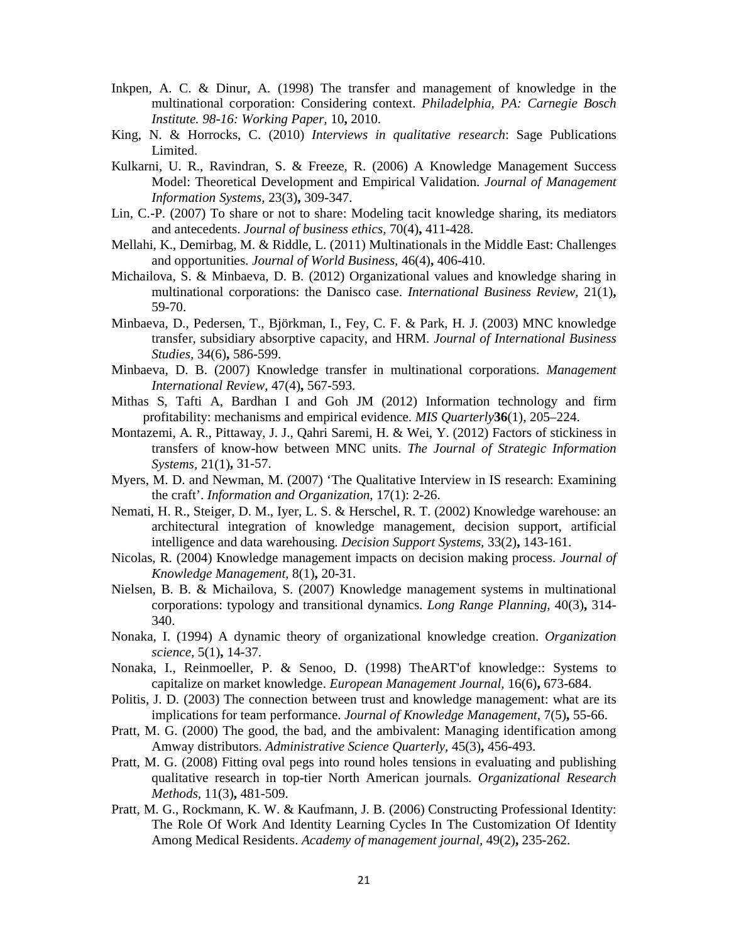- Inkpen, A. C. & Dinur, A. (1998) The transfer and management of knowledge in the multinational corporation: Considering context. *Philadelphia, PA: Carnegie Bosch Institute. 98-16: Working Paper,* 10**,** 2010.
- King, N. & Horrocks, C. (2010) *Interviews in qualitative research*: Sage Publications Limited.
- Kulkarni, U. R., Ravindran, S. & Freeze, R. (2006) A Knowledge Management Success Model: Theoretical Development and Empirical Validation. *Journal of Management Information Systems,* 23(3)**,** 309-347.
- Lin, C.-P. (2007) To share or not to share: Modeling tacit knowledge sharing, its mediators and antecedents. *Journal of business ethics,* 70(4)**,** 411-428.
- Mellahi, K., Demirbag, M. & Riddle, L. (2011) Multinationals in the Middle East: Challenges and opportunities. *Journal of World Business,* 46(4)**,** 406-410.
- Michailova, S. & Minbaeva, D. B. (2012) Organizational values and knowledge sharing in multinational corporations: the Danisco case. *International Business Review,* 21(1)**,** 59-70.
- Minbaeva, D., Pedersen, T., Björkman, I., Fey, C. F. & Park, H. J. (2003) MNC knowledge transfer, subsidiary absorptive capacity, and HRM. *Journal of International Business Studies,* 34(6)**,** 586-599.
- Minbaeva, D. B. (2007) Knowledge transfer in multinational corporations. *Management International Review,* 47(4)**,** 567-593.
- Mithas S, Tafti A, Bardhan I and Goh JM (2012) Information technology and firm profitability: mechanisms and empirical evidence. *MIS Quarterly***36**(1), 205–224.
- Montazemi, A. R., Pittaway, J. J., Qahri Saremi, H. & Wei, Y. (2012) Factors of stickiness in transfers of know-how between MNC units. *The Journal of Strategic Information Systems,* 21(1)**,** 31-57.
- Myers, M. D. and Newman, M. (2007) 'The Qualitative Interview in IS research: Examining the craft'. *Information and Organization*, 17(1): 2-26.
- Nemati, H. R., Steiger, D. M., Iyer, L. S. & Herschel, R. T. (2002) Knowledge warehouse: an architectural integration of knowledge management, decision support, artificial intelligence and data warehousing. *Decision Support Systems,* 33(2)**,** 143-161.
- Nicolas, R. (2004) Knowledge management impacts on decision making process. *Journal of Knowledge Management,* 8(1)**,** 20-31.
- Nielsen, B. B. & Michailova, S. (2007) Knowledge management systems in multinational corporations: typology and transitional dynamics. *Long Range Planning,* 40(3)**,** 314- 340.
- Nonaka, I. (1994) A dynamic theory of organizational knowledge creation. *Organization science,* 5(1)**,** 14-37.
- Nonaka, I., Reinmoeller, P. & Senoo, D. (1998) TheART'of knowledge:: Systems to capitalize on market knowledge. *European Management Journal,* 16(6)**,** 673-684.
- Politis, J. D. (2003) The connection between trust and knowledge management: what are its implications for team performance. *Journal of Knowledge Management,* 7(5)**,** 55-66.
- Pratt, M. G. (2000) The good, the bad, and the ambivalent: Managing identification among Amway distributors. *Administrative Science Quarterly,* 45(3)**,** 456-493.
- Pratt, M. G. (2008) Fitting oval pegs into round holes tensions in evaluating and publishing qualitative research in top-tier North American journals. *Organizational Research Methods,* 11(3)**,** 481-509.
- Pratt, M. G., Rockmann, K. W. & Kaufmann, J. B. (2006) Constructing Professional Identity: The Role Of Work And Identity Learning Cycles In The Customization Of Identity Among Medical Residents. *Academy of management journal,* 49(2)**,** 235-262.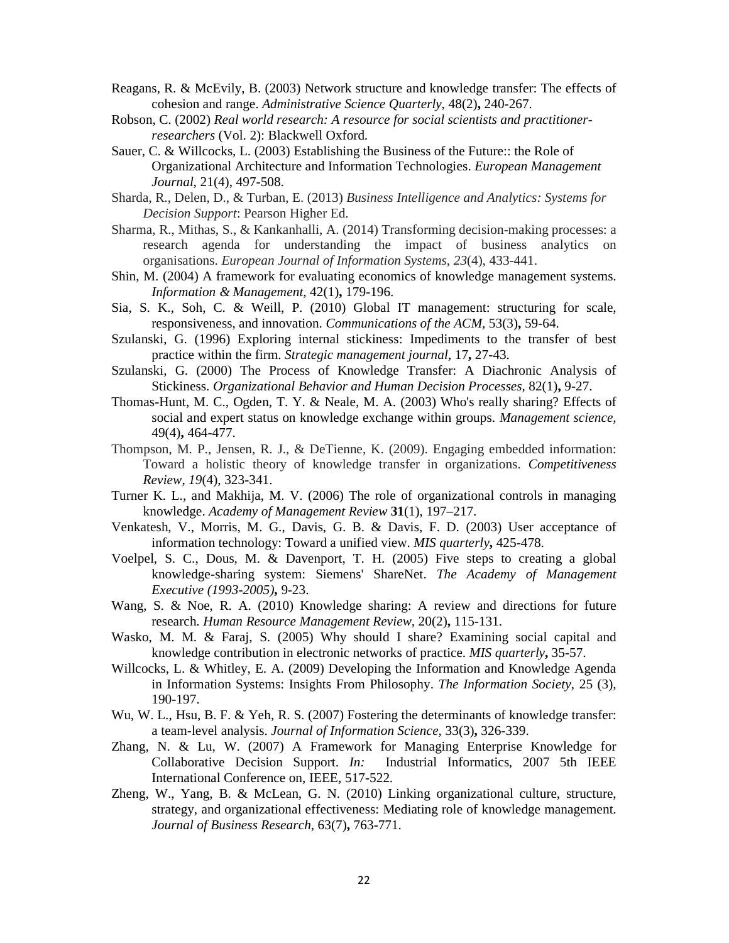- Reagans, R. & McEvily, B. (2003) Network structure and knowledge transfer: The effects of cohesion and range. *Administrative Science Quarterly,* 48(2)**,** 240-267.
- Robson, C. (2002) *Real world research: A resource for social scientists and practitionerresearchers* (Vol. 2): Blackwell Oxford.
- Sauer, C. & Willcocks, L. (2003) Establishing the Business of the Future:: the Role of Organizational Architecture and Information Technologies. *European Management Journal*, 21(4), 497-508.
- Sharda, R., Delen, D., & Turban, E. (2013) *Business Intelligence and Analytics: Systems for Decision Support*: Pearson Higher Ed.
- Sharma, R., Mithas, S., & Kankanhalli, A. (2014) Transforming decision-making processes: a research agenda for understanding the impact of business analytics on organisations. *European Journal of Information Systems*, *23*(4), 433-441.
- Shin, M. (2004) A framework for evaluating economics of knowledge management systems. *Information & Management,* 42(1)**,** 179-196.
- Sia, S. K., Soh, C. & Weill, P. (2010) Global IT management: structuring for scale, responsiveness, and innovation. *Communications of the ACM,* 53(3)**,** 59-64.
- Szulanski, G. (1996) Exploring internal stickiness: Impediments to the transfer of best practice within the firm. *Strategic management journal,* 17**,** 27-43.
- Szulanski, G. (2000) The Process of Knowledge Transfer: A Diachronic Analysis of Stickiness. *Organizational Behavior and Human Decision Processes,* 82(1)**,** 9-27.
- Thomas-Hunt, M. C., Ogden, T. Y. & Neale, M. A. (2003) Who's really sharing? Effects of social and expert status on knowledge exchange within groups. *Management science,* 49(4)**,** 464-477.
- Thompson, M. P., Jensen, R. J., & DeTienne, K. (2009). Engaging embedded information: Toward a holistic theory of knowledge transfer in organizations. *Competitiveness Review*, *19*(4), 323-341.
- Turner K. L., and Makhija, M. V. (2006) The role of organizational controls in managing knowledge. *Academy of Management Review* **31**(1), 197–217.
- Venkatesh, V., Morris, M. G., Davis, G. B. & Davis, F. D. (2003) User acceptance of information technology: Toward a unified view. *MIS quarterly***,** 425-478.
- Voelpel, S. C., Dous, M. & Davenport, T. H. (2005) Five steps to creating a global knowledge-sharing system: Siemens' ShareNet. *The Academy of Management Executive (1993-2005)***,** 9-23.
- Wang, S. & Noe, R. A. (2010) Knowledge sharing: A review and directions for future research. *Human Resource Management Review,* 20(2)**,** 115-131.
- Wasko, M. M. & Faraj, S. (2005) Why should I share? Examining social capital and knowledge contribution in electronic networks of practice. *MIS quarterly***,** 35-57.
- Willcocks, L. & Whitley, E. A. (2009) Developing the Information and Knowledge Agenda in Information Systems: Insights From Philosophy. *The Information Society*, 25 (3), 190-197.
- Wu, W. L., Hsu, B. F. & Yeh, R. S. (2007) Fostering the determinants of knowledge transfer: a team-level analysis. *Journal of Information Science,* 33(3)**,** 326-339.
- Zhang, N. & Lu, W. (2007) A Framework for Managing Enterprise Knowledge for Collaborative Decision Support. *In:* Industrial Informatics, 2007 5th IEEE International Conference on, IEEE, 517-522.
- Zheng, W., Yang, B. & McLean, G. N. (2010) Linking organizational culture, structure, strategy, and organizational effectiveness: Mediating role of knowledge management. *Journal of Business Research,* 63(7)**,** 763-771.